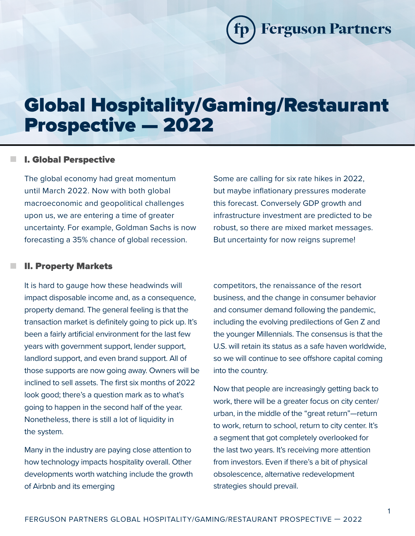**Ferguson Partners** 

# Global Hospitality/Gaming/Restaurant Prospective — 2022

## **n** I. Global Perspective

The global economy had great momentum until March 2022. Now with both global macroeconomic and geopolitical challenges upon us, we are entering a time of greater uncertainty. For example, Goldman Sachs is now forecasting a 35% chance of global recession.

#### **II. Property Markets**

It is hard to gauge how these headwinds will impact disposable income and, as a consequence, property demand. The general feeling is that the transaction market is definitely going to pick up. It's been a fairly artificial environment for the last few years with government support, lender support, landlord support, and even brand support. All of those supports are now going away. Owners will be inclined to sell assets. The first six months of 2022 look good; there's a question mark as to what's going to happen in the second half of the year. Nonetheless, there is still a lot of liquidity in the system.

Many in the industry are paying close attention to how technology impacts hospitality overall. Other developments worth watching include the growth of Airbnb and its emerging

Some are calling for six rate hikes in 2022, but maybe inflationary pressures moderate this forecast. Conversely GDP growth and infrastructure investment are predicted to be robust, so there are mixed market messages. But uncertainty for now reigns supreme!

competitors, the renaissance of the resort business, and the change in consumer behavior and consumer demand following the pandemic, including the evolving predilections of Gen Z and the younger Millennials. The consensus is that the U.S. will retain its status as a safe haven worldwide, so we will continue to see offshore capital coming into the country.

Now that people are increasingly getting back to work, there will be a greater focus on city center/ urban, in the middle of the "great return"—return to work, return to school, return to city center. It's a segment that got completely overlooked for the last two years. It's receiving more attention from investors. Even if there's a bit of physical obsolescence, alternative redevelopment strategies should prevail.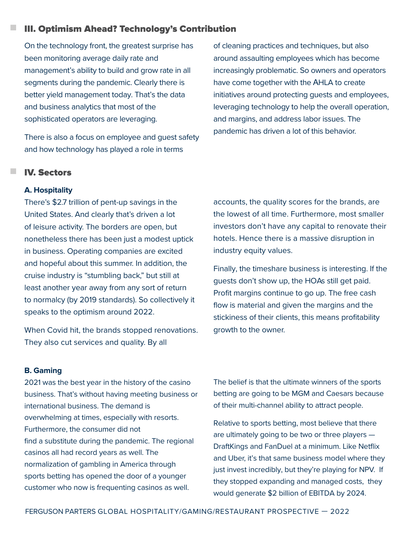## n III. Optimism Ahead? Technology's Contribution

On the technology front, the greatest surprise has been monitoring average daily rate and management's ability to build and grow rate in all segments during the pandemic. Clearly there is better yield management today. That's the data and business analytics that most of the sophisticated operators are leveraging.

There is also a focus on employee and guest safety and how technology has played a role in terms

**IV. Sectors** 

## **A. Hospitality**

There's \$2.7 trillion of pent-up savings in the United States. And clearly that's driven a lot of leisure activity. The borders are open, but nonetheless there has been just a modest uptick in business. Operating companies are excited and hopeful about this summer. In addition, the cruise industry is "stumbling back," but still at least another year away from any sort of return to normalcy (by 2019 standards). So collectively it speaks to the optimism around 2022.

When Covid hit, the brands stopped renovations. They also cut services and quality. By all

**B. Gaming**

2021 was the best year in the history of the casino business. That's without having meeting business or international business. The demand is overwhelming at times, especially with resorts. Furthermore, the consumer did not find a substitute during the pandemic. The regional casinos all had record years as well. The normalization of gambling in America through sports betting has opened the door of a younger customer who now is frequenting casinos as well.

of cleaning practices and techniques, but also around assaulting employees which has become increasingly problematic. So owners and operators have come together with the AHLA to create initiatives around protecting guests and employees, leveraging technology to help the overall operation, and margins, and address labor issues. The pandemic has driven a lot of this behavior.

accounts, the quality scores for the brands, are the lowest of all time. Furthermore, most smaller investors don't have any capital to renovate their hotels. Hence there is a massive disruption in industry equity values.

Finally, the timeshare business is interesting. If the guests don't show up, the HOAs still get paid. Profit margins continue to go up. The free cash flow is material and given the margins and the stickiness of their clients, this means profitability growth to the owner.

The belief is that the ultimate winners of the sports betting are going to be MGM and Caesars because of their multi-channel ability to attract people.

Relative to sports betting, most believe that there are ultimately going to be two or three players — DraftKings and FanDuel at a minimum. Like Netflix and Uber, it's that same business model where they just invest incredibly, but they're playing for NPV. If they stopped expanding and managed costs, they would generate \$2 billion of EBITDA by 2024.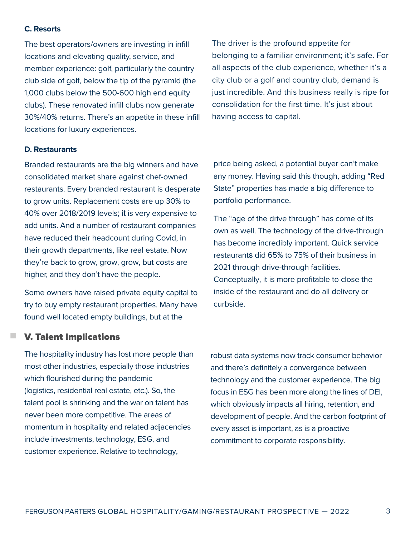#### **C. Resorts**

The best operators/owners are investing in infill locations and elevating quality, service, and member experience: golf, particularly the country club side of golf, below the tip of the pyramid (the 1,000 clubs below the 500-600 high end equity clubs). These renovated infill clubs now generate 30%/40% returns. There's an appetite in these infill locations for luxury experiences.

The driver is the profound appetite for belonging to a familiar environment; it's safe. For all aspects of the club experience, whether it's a city club or a golf and country club, demand is just incredible. And this business really is ripe for consolidation for the first time. It's just about having access to capital.

## **D. Restaurants**

Branded restaurants are the big winners and have consolidated market share against chef-owned restaurants. Every branded restaurant is desperate to grow units. Replacement costs are up 30% to 40% over 2018/2019 levels; it is very expensive to add units. And a number of restaurant companies have reduced their headcount during Covid, in their growth departments, like real estate. Now they're back to grow, grow, grow, but costs are higher, and they don't have the people.

Some owners have raised private equity capital to try to buy empty restaurant properties. Many have found well located empty buildings, but at the

price being asked, a potential buyer can't make any money. Having said this though, adding "Red State" properties has made a big difference to portfolio performance.

The "age of the drive through" has come of its own as well. The technology of the drive-through has become incredibly important. Quick service restaurants did 65% to 75% of their business in 2021 through drive-through facilities. Conceptually, it is more profitable to close the inside of the restaurant and do all delivery or curbside.

## **V. Talent Implications**

The hospitality industry has lost more people than most other industries, especially those industries which flourished during the pandemic (logistics, residential real estate, etc.). So, the talent pool is shrinking and the war on talent has never been more competitive. The areas of momentum in hospitality and related adjacencies include investments, technology, ESG, and customer experience. Relative to technology,

robust data systems now track consumer behavior and there's definitely a convergence between technology and the customer experience. The big focus in ESG has been more along the lines of DEI, which obviously impacts all hiring, retention, and development of people. And the carbon footprint of every asset is important, as is a proactive commitment to corporate responsibility.